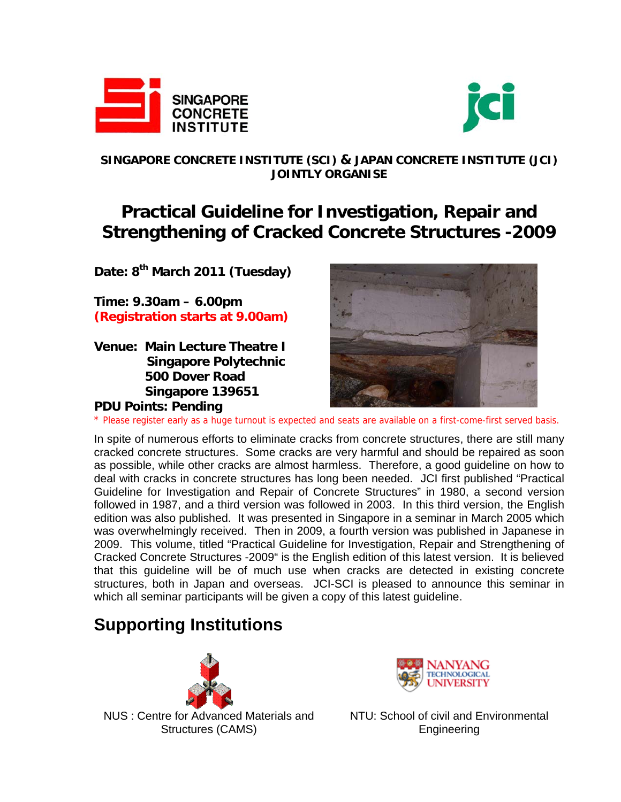



### **SINGAPORE CONCRETE INSTITUTE (SCI) & JAPAN CONCRETE INSTITUTE (JCI) JOINTLY ORGANISE**

# **Practical Guideline for Investigation, Repair and Strengthening of Cracked Concrete Structures -2009**

**Date: 8th March 2011 (Tuesday)** 

**Time: 9.30am – 6.00pm (Registration starts at 9.00am)**

**Venue: Main Lecture Theatre I Singapore Polytechnic 500 Dover Road Singapore 139651** 

**PDU Points: Pending** 



\* Please register early as a huge turnout is expected and seats are available on a first-come-first served basis.

In spite of numerous efforts to eliminate cracks from concrete structures, there are still many cracked concrete structures. Some cracks are very harmful and should be repaired as soon as possible, while other cracks are almost harmless. Therefore, a good guideline on how to deal with cracks in concrete structures has long been needed. JCI first published "Practical Guideline for Investigation and Repair of Concrete Structures" in 1980, a second version followed in 1987, and a third version was followed in 2003. In this third version, the English edition was also published. It was presented in Singapore in a seminar in March 2005 which was overwhelmingly received. Then in 2009, a fourth version was published in Japanese in 2009. This volume, titled "Practical Guideline for Investigation, Repair and Strengthening of Cracked Concrete Structures -2009" is the English edition of this latest version. It is believed that this guideline will be of much use when cracks are detected in existing concrete structures, both in Japan and overseas. JCI-SCI is pleased to announce this seminar in which all seminar participants will be given a copy of this latest guideline.

# **Supporting Institutions**



NUS : Centre for Advanced Materials and Structures (CAMS)



NTU: School of civil and Environmental Engineering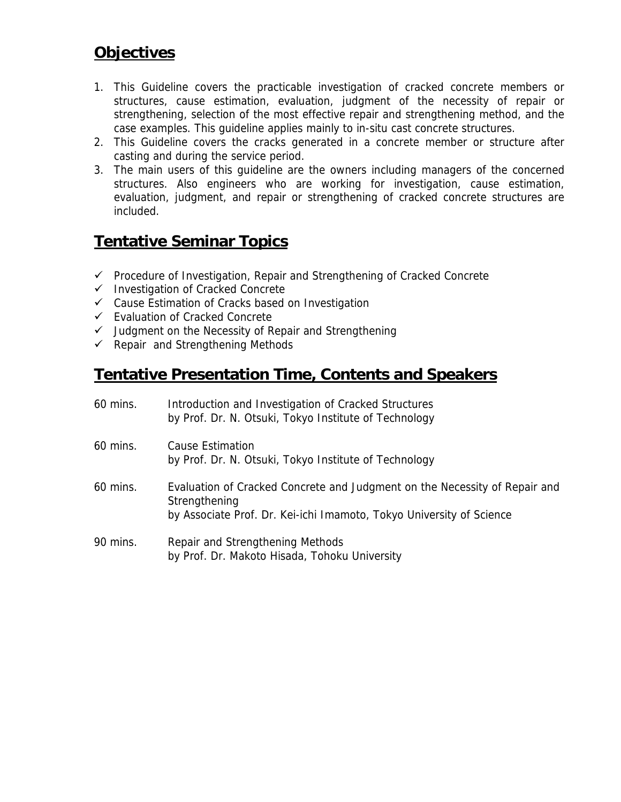## **Objectives**

- 1. This Guideline covers the practicable investigation of cracked concrete members or structures, cause estimation, evaluation, judgment of the necessity of repair or strengthening, selection of the most effective repair and strengthening method, and the case examples. This guideline applies mainly to in-situ cast concrete structures.
- 2. This Guideline covers the cracks generated in a concrete member or structure after casting and during the service period.
- 3. The main users of this guideline are the owners including managers of the concerned structures. Also engineers who are working for investigation, cause estimation, evaluation, judgment, and repair or strengthening of cracked concrete structures are included.

## **Tentative Seminar Topics**

- $\checkmark$  Procedure of Investigation, Repair and Strengthening of Cracked Concrete
- $\checkmark$  Investigation of Cracked Concrete
- $\checkmark$  Cause Estimation of Cracks based on Investigation
- Evaluation of Cracked Concrete
- $\checkmark$  Judgment on the Necessity of Repair and Strengthening
- $\checkmark$  Repair and Strengthening Methods

## **Tentative Presentation Time, Contents and Speakers**

| 60 mins. | Introduction and Investigation of Cracked Structures<br>by Prof. Dr. N. Otsuki, Tokyo Institute of Technology                                                       |
|----------|---------------------------------------------------------------------------------------------------------------------------------------------------------------------|
| 60 mins. | <b>Cause Estimation</b><br>by Prof. Dr. N. Otsuki, Tokyo Institute of Technology                                                                                    |
| 60 mins. | Evaluation of Cracked Concrete and Judgment on the Necessity of Repair and<br>Strengthening<br>by Associate Prof. Dr. Kei-ichi Imamoto, Tokyo University of Science |
| 90 mins. | Repair and Strengthening Methods<br>by Prof. Dr. Makoto Hisada, Tohoku University                                                                                   |